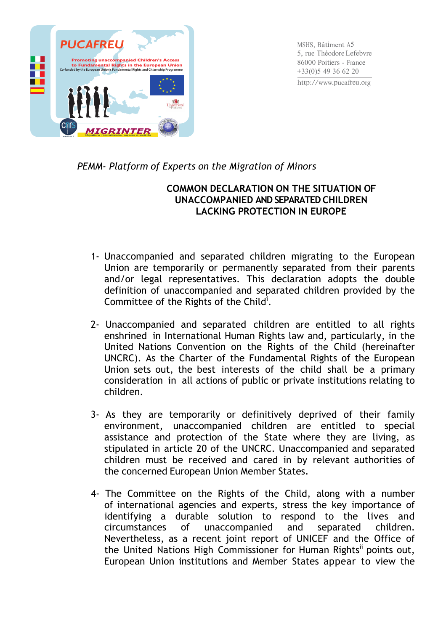

*PEMM- Platform of Experts on the Migration of Minors*

## **COMMON DECLARATION ON THE SITUATION OF UNACCOMPANIED AND SEPARATED CHILDREN LACKING PROTECTION IN EUROPE**

- 1- Unaccompanied and separated children migrating to the European Union are temporarily or permanently separated from their parents and/or legal representatives. This declaration adopts the double definition of unaccompanied and separated children provided by the Committee of the Rights of the Child<sup>i</sup>.
- 2- Unaccompanied and separated children are entitled to all rights enshrined in International Human Rights law and, particularly, in the United Nations Convention on the Rights of the Child (hereinafter UNCRC). As the Charter of the Fundamental Rights of the European Union sets out, the best interests of the child shall be a primary consideration in all actions of public or private institutions relating to children.
- 3- As they are temporarily or definitively deprived of their family environment, unaccompanied children are entitled to special assistance and protection of the State where they are living, as stipulated in article 20 of the UNCRC. Unaccompanied and separated children must be received and cared in by relevant authorities of the concerned European Union Member States.
- 4- The Committee on the Rights of the Child, along with a number of international agencies and experts, stress the key importance of identifying a durable solution to respond to the lives and circumstances of unaccompanied and separated children. Nevertheless, as a recent joint report of UNICEF and the Office of the United Nations High Commissioner for Human Rights<sup>ii</sup> points out, European Union institutions and Member States appear to view the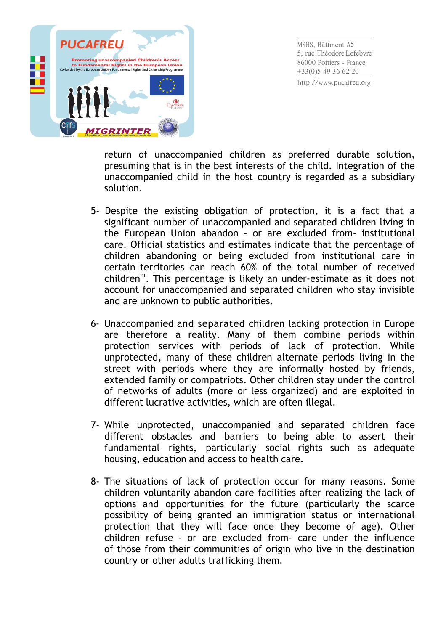

return of unaccompanied children as preferred durable solution, presuming that is in the best interests of the child. Integration of the unaccompanied child in the host country is regarded as a subsidiary solution.

- 5- Despite the existing obligation of protection, it is a fact that a significant number of unaccompanied and separated children living in the European Union abandon - or are excluded from- institutional care. Official statistics and estimates indicate that the percentage of children abandoning or being excluded from institutional care in certain territories can reach 60% of the total number of received children<sup>iii</sup>. This percentage is likely an under-estimate as it does not account for unaccompanied and separated children who stay invisible and are unknown to public authorities.
- 6- Unaccompanied and separated children lacking protection in Europe are therefore a reality. Many of them combine periods within protection services with periods of lack of protection. While unprotected, many of these children alternate periods living in the street with periods where they are informally hosted by friends, extended family or compatriots. Other children stay under the control of networks of adults (more or less organized) and are exploited in different lucrative activities, which are often illegal.
- 7- While unprotected, unaccompanied and separated children face different obstacles and barriers to being able to assert their fundamental rights, particularly social rights such as adequate housing, education and access to health care.
- 8- The situations of lack of protection occur for many reasons. Some children voluntarily abandon care facilities after realizing the lack of options and opportunities for the future (particularly the scarce possibility of being granted an immigration status or international protection that they will face once they become of age). Other children refuse - or are excluded from- care under the influence of those from their communities of origin who live in the destination country or other adults trafficking them.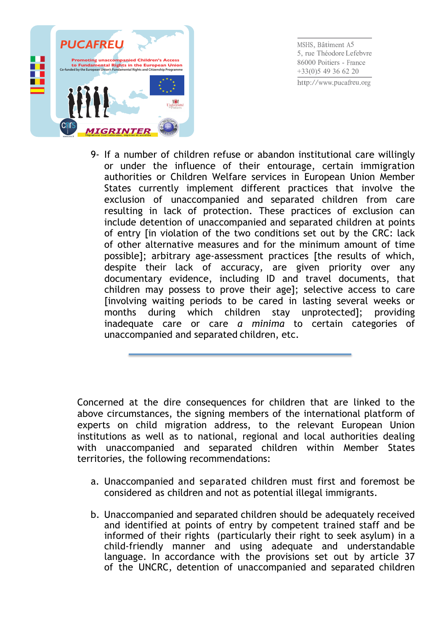

9- If a number of children refuse or abandon institutional care willingly or under the influence of their entourage, certain immigration authorities or Children Welfare services in European Union Member States currently implement different practices that involve the exclusion of unaccompanied and separated children from care resulting in lack of protection. These practices of exclusion can include detention of unaccompanied and separated children at points of entry [in violation of the two conditions set out by the CRC: lack of other alternative measures and for the minimum amount of time possible]; arbitrary age-assessment practices [the results of which, despite their lack of accuracy, are given priority over any documentary evidence, including ID and travel documents, that children may possess to prove their age]; selective access to care [involving waiting periods to be cared in lasting several weeks or months during which children stay unprotected]; providing inadequate care or care *a minima* to certain categories of unaccompanied and separated children, etc.

Concerned at the dire consequences for children that are linked to the above circumstances, the signing members of the international platform of experts on child migration address, to the relevant European Union institutions as well as to national, regional and local authorities dealing with unaccompanied and separated children within Member States territories, the following recommendations:

- a. Unaccompanied and separated children must first and foremost be considered as children and not as potential illegal immigrants.
- b. Unaccompanied and separated children should be adequately received and identified at points of entry by competent trained staff and be informed of their rights (particularly their right to seek asylum) in a child-friendly manner and using adequate and understandable language. In accordance with the provisions set out by article 37 of the UNCRC, detention of unaccompanied and separated children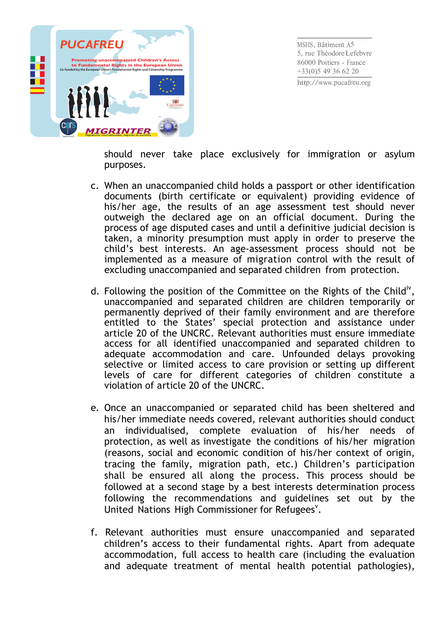

should never take place exclusively for immigration or asylum purposes.

- c. When an unaccompanied child holds a passport or other identification documents (birth certificate or equivalent) providing evidence of his/her age, the results of an age assessment test should never outweigh the declared age on an official document. During the process of age disputed cases and until a definitive judicial decision is taken, a minority presumption must apply in order to preserve the child's best interests. An age-assessment process should not be implemented as a measure of migration control with the result of excluding unaccompanied and separated children from protection.
- d. Following the position of the Committee on the Rights of the Child<sup>iv</sup>, unaccompanied and separated children are children temporarily or permanently deprived of their family environment and are therefore entitled to the States' special protection and assistance under article 20 of the UNCRC. Relevant authorities must ensure immediate access for all identified unaccompanied and separated children to adequate accommodation and care. Unfounded delays provoking selective or limited access to care provision or setting up different levels of care for different categories of children constitute a violation of article 20 of the UNCRC.
- e. Once an unaccompanied or separated child has been sheltered and his/her immediate needs covered, relevant authorities should conduct an individualised, complete evaluation of his/her needs of protection, as well as investigate the conditions of his/her migration (reasons, social and economic condition of his/her context of origin, tracing the family, migration path, etc.) Children's participation shall be ensured all along the process. This process should be followed at a second stage by a best interests determination process following the recommendations and guidelines set out by the United Nations High Commissioner for Refugees<sup>v</sup>.
- f. Relevant authorities must ensure unaccompanied and separated children's access to their fundamental rights. Apart from adequate accommodation, full access to health care (including the evaluation and adequate treatment of mental health potential pathologies),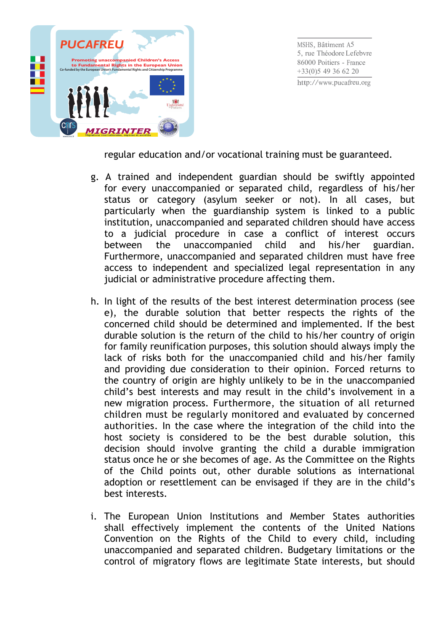

regular education and/or vocational training must be guaranteed.

- g. A trained and independent guardian should be swiftly appointed for every unaccompanied or separated child, regardless of his/her status or category (asylum seeker or not). In all cases, but particularly when the guardianship system is linked to a public institution, unaccompanied and separated children should have access to a judicial procedure in case a conflict of interest occurs between the unaccompanied child and his/her guardian. Furthermore, unaccompanied and separated children must have free access to independent and specialized legal representation in any judicial or administrative procedure affecting them.
- h. In light of the results of the best interest determination process (see e), the durable solution that better respects the rights of the concerned child should be determined and implemented. If the best durable solution is the return of the child to his/her country of origin for family reunification purposes, this solution should always imply the lack of risks both for the unaccompanied child and his/her family and providing due consideration to their opinion. Forced returns to the country of origin are highly unlikely to be in the unaccompanied child's best interests and may result in the child's involvement in a new migration process. Furthermore, the situation of all returned children must be regularly monitored and evaluated by concerned authorities. In the case where the integration of the child into the host society is considered to be the best durable solution, this decision should involve granting the child a durable immigration status once he or she becomes of age. As the Committee on the Rights of the Child points out, other durable solutions as international adoption or resettlement can be envisaged if they are in the child's best interests.
- i. The European Union Institutions and Member States authorities shall effectively implement the contents of the United Nations Convention on the Rights of the Child to every child, including unaccompanied and separated children. Budgetary limitations or the control of migratory flows are legitimate State interests, but should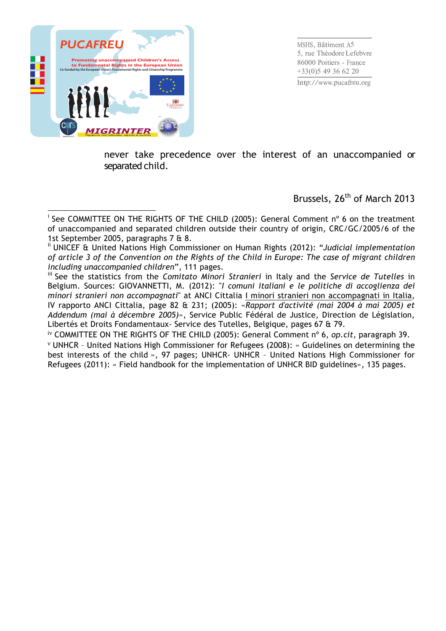

never take precedence over the interest of an unaccompanied or separated child.

Brussels, 26<sup>th</sup> of March 2013

iv COMMITTEE ON THE RIGHTS OF THE CHILD (2005): General Comment nº 6, *op.cit,* paragraph 39. <sup>v</sup> UNHCR – United Nations High Commissioner for Refugees (2008): « Guidelines on determining the best interests of the child », 97 pages; UNHCR- UNHCR – United Nations High Commissioner for Refugees (2011): « Field handbook for the implementation of UNHCR BID guidelines», 135 pages.

<sup>!!!!!!!!!!!!!!!!!!!!!!!!!!!!!!!!!!!!!!!!!!!!!!!!!!!!!!!!!!!!</sup> <sup>i</sup> See COMMITTEE ON THE RIGHTS OF THE CHILD (2005): General Comment n° 6 on the treatment of unaccompanied and separated children outside their country of origin, CRC/GC/2005/6 of the 1st September 2005, paragraphs 7 & 8.

ii UNICEF & United Nations High Commissioner on Human Rights (2012): "*Judicial implementation of article 3 of the Convention on the Rights of the Child in Europe: The case of migrant children including unaccompanied children*", 111 pages.

iii See the statistics from the *Comitato Minori Stranieri* in Italy and the *Service de Tutelles* in Belgium. Sources: GIOVANNETTI, M. (2012): "*I comuni italiani e le politiche di accoglienza dei minori stranieri non accompagnati*" at ANCI Cittalia I minori stranieri non accompagnati in Italia, IV rapporto ANCI Cittalia, page 82 & 231; (2005): «*Rapport d'activité (mai 2004 à mai 2005) et Addendum (mai à décembre 2005)*», Service Public Fédéral de Justice, Direction de Législation, Libertés et Droits Fondamentaux- Service des Tutelles, Belgique, pages 67 & 79.